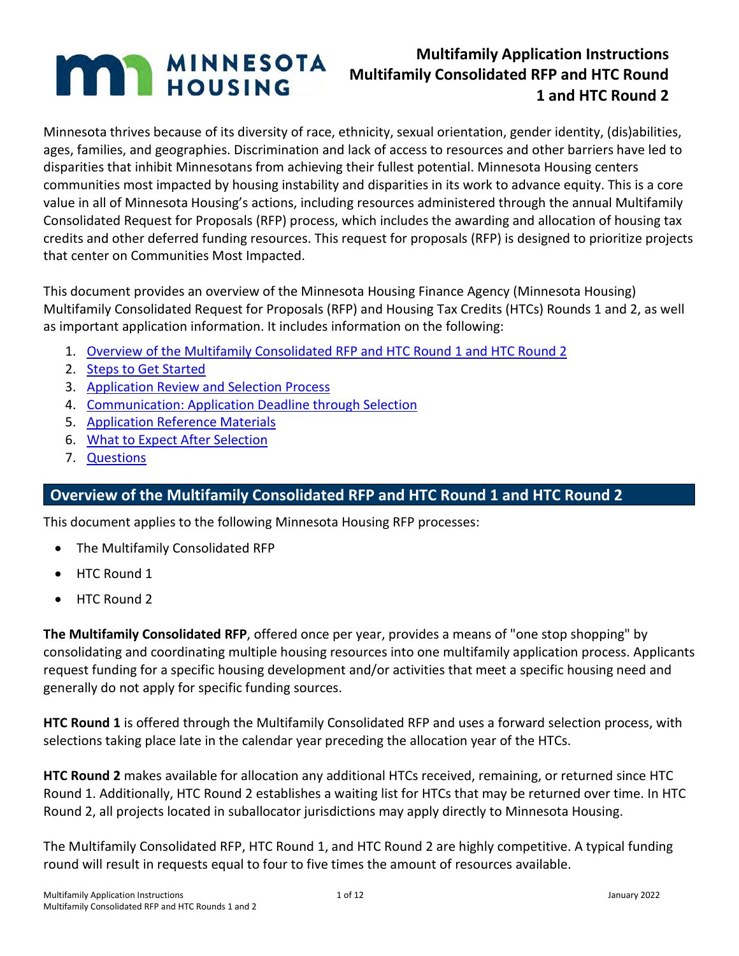# **MAN MINNESOTA**

## **Multifamily Application Instructions Multifamily Consolidated RFP and HTC Round 1 and HTC Round 2**

Minnesota thrives because of its diversity of race, ethnicity, sexual orientation, gender identity, (dis)abilities, ages, families, and geographies. Discrimination and lack of access to resources and other barriers have led to disparities that inhibit Minnesotans from achieving their fullest potential. Minnesota Housing centers communities most impacted by housing instability and disparities in its work to advance equity. This is a core value in all of Minnesota Housing's actions, including resources administered through the annual Multifamily Consolidated Request for Proposals (RFP) process, which includes the awarding and allocation of housing tax credits and other deferred funding resources. This request for proposals (RFP) is designed to prioritize projects that center on Communities Most Impacted.

This document provides an overview of the Minnesota Housing Finance Agency (Minnesota Housing) Multifamily Consolidated Request for Proposals (RFP) and Housing Tax Credits (HTCs) Rounds 1 and 2, as well as important application information. It includes information on the following:

- 1. [Overview of the Multifamily Consolidated RFP and HTC Round 1 and HTC Round 2](#page-0-0)
- 2. [Steps to Get Started](#page-1-0)
- 3. [Application Review and Selection Process](#page-10-0)
- 4. [Communication: Application Deadline through Selection](#page-10-1)
- 5. [Application Reference Materials](#page-10-2)
- 6. [What to Expect After Selection](#page-11-0)
- 7. [Questions](#page-11-1)

## <span id="page-0-0"></span>**Overview of the Multifamily Consolidated RFP and HTC Round 1 and HTC Round 2**

This document applies to the following Minnesota Housing RFP processes:

- The Multifamily Consolidated RFP
- HTC Round 1
- HTC Round 2

**The Multifamily Consolidated RFP**, offered once per year, provides a means of "one stop shopping" by consolidating and coordinating multiple housing resources into one multifamily application process. Applicants request funding for a specific housing development and/or activities that meet a specific housing need and generally do not apply for specific funding sources.

**HTC Round 1** is offered through the Multifamily Consolidated RFP and uses a forward selection process, with selections taking place late in the calendar year preceding the allocation year of the HTCs.

**HTC Round 2** makes available for allocation any additional HTCs received, remaining, or returned since HTC Round 1. Additionally, HTC Round 2 establishes a waiting list for HTCs that may be returned over time. In HTC Round 2, all projects located in suballocator jurisdictions may apply directly to Minnesota Housing.

The Multifamily Consolidated RFP, HTC Round 1, and HTC Round 2 are highly competitive. A typical funding round will result in requests equal to four to five times the amount of resources available.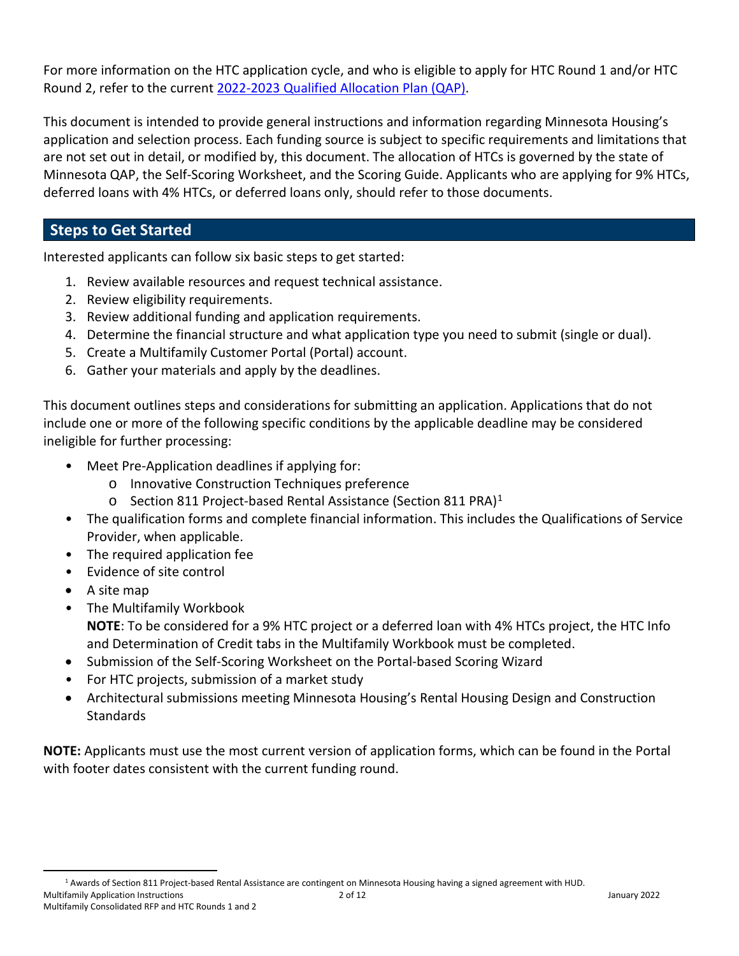For more information on the HTC application cycle, and who is eligible to apply for HTC Round 1 and/or HTC Round 2, refer to the current [2022-2023 Qualified Allocation Plan \(QAP\).](https://www.mnhousing.gov/get/MHFA_238915)

This document is intended to provide general instructions and information regarding Minnesota Housing's application and selection process. Each funding source is subject to specific requirements and limitations that are not set out in detail, or modified by, this document. The allocation of HTCs is governed by the state of Minnesota QAP, the Self-Scoring Worksheet, and the Scoring Guide. Applicants who are applying for 9% HTCs, deferred loans with 4% HTCs, or deferred loans only, should refer to those documents.

## <span id="page-1-0"></span>**Steps to Get Started**

Interested applicants can follow six basic steps to get started:

- 1. Review available resources and request technical assistance.
- 2. Review eligibility requirements.
- 3. Review additional funding and application requirements.
- 4. Determine the financial structure and what application type you need to submit (single or dual).
- 5. Create a Multifamily Customer Portal (Portal) account.
- 6. Gather your materials and apply by the deadlines.

This document outlines steps and considerations for submitting an application. Applications that do not include one or more of the following specific conditions by the applicable deadline may be considered ineligible for further processing:

- Meet Pre-Application deadlines if applying for:
	- o Innovative Construction Techniques preference
	- o Section 811 Project-based Rental Assistance (Section 811 PRA)[1](#page-1-1)
- The qualification forms and complete financial information. This includes the Qualifications of Service Provider, when applicable.
- The required application fee
- Evidence of site control
- A site map
- The Multifamily Workbook **NOTE**: To be considered for a 9% HTC project or a deferred loan with 4% HTCs project, the HTC Info and Determination of Credit tabs in the Multifamily Workbook must be completed.
- Submission of the Self-Scoring Worksheet on the Portal-based Scoring Wizard
- For HTC projects, submission of a market study
- Architectural submissions meeting Minnesota Housing's Rental Housing Design and Construction **Standards**

**NOTE:** Applicants must use the most current version of application forms, which can be found in the Portal with footer dates consistent with the current funding round.

<span id="page-1-1"></span>Multifamily Application Instructions and the control of the control of the control of the control of the control of the control of the control of the control of the control of the control of the control of the control of t <sup>1</sup> Awards of Section 811 Project-based Rental Assistance are contingent on Minnesota Housing having a signed agreement with HUD.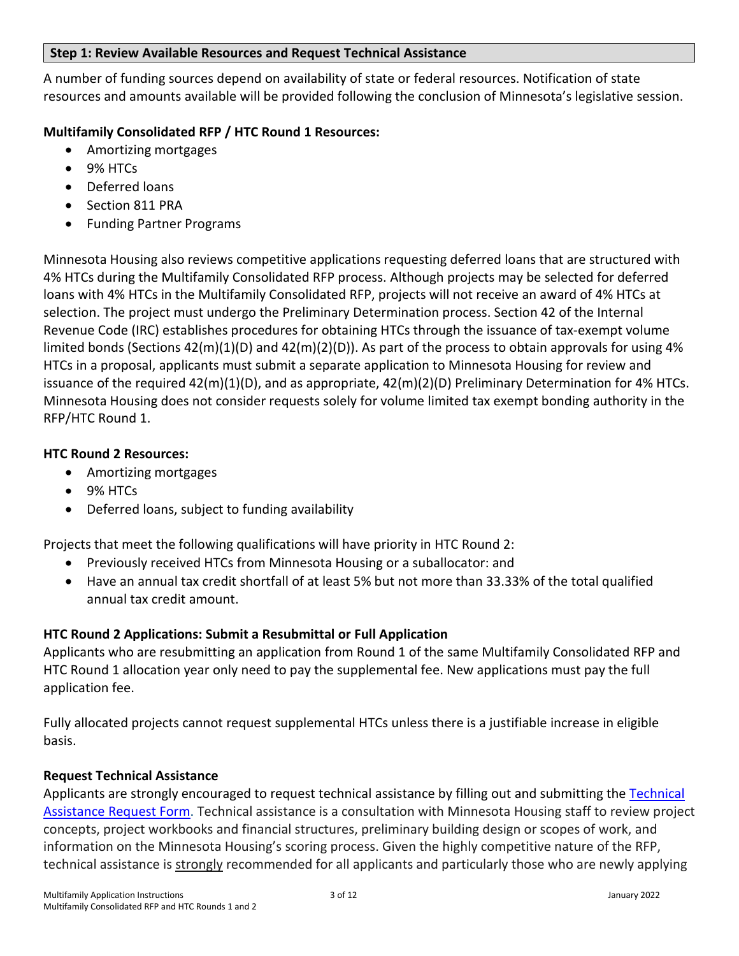#### **Step 1: Review Available Resources and Request Technical Assistance**

A number of funding sources depend on availability of state or federal resources. Notification of state resources and amounts available will be provided following the conclusion of Minnesota's legislative session.

## **Multifamily Consolidated RFP / HTC Round 1 Resources:**

- Amortizing mortgages
- 9% HTCs
- Deferred loans
- Section 811 PRA
- Funding Partner Programs

Minnesota Housing also reviews competitive applications requesting deferred loans that are structured with 4% HTCs during the Multifamily Consolidated RFP process. Although projects may be selected for deferred loans with 4% HTCs in the Multifamily Consolidated RFP, projects will not receive an award of 4% HTCs at selection. The project must undergo the Preliminary Determination process. Section 42 of the Internal Revenue Code (IRC) establishes procedures for obtaining HTCs through the issuance of tax-exempt volume limited bonds (Sections  $42(m)(1)(D)$  and  $42(m)(2)(D)$ ). As part of the process to obtain approvals for using 4% HTCs in a proposal, applicants must submit a separate application to Minnesota Housing for review and issuance of the required  $42(m)(1)(D)$ , and as appropriate,  $42(m)(2)(D)$  Preliminary Determination for 4% HTCs. Minnesota Housing does not consider requests solely for volume limited tax exempt bonding authority in the RFP/HTC Round 1.

## **HTC Round 2 Resources:**

- Amortizing mortgages
- 9% HTCs
- Deferred loans, subject to funding availability

Projects that meet the following qualifications will have priority in HTC Round 2:

- Previously received HTCs from Minnesota Housing or a suballocator: and
- Have an annual tax credit shortfall of at least 5% but not more than 33.33% of the total qualified annual tax credit amount.

## **HTC Round 2 Applications: Submit a Resubmittal or Full Application**

Applicants who are resubmitting an application from Round 1 of the same Multifamily Consolidated RFP and HTC Round 1 allocation year only need to pay the supplemental fee. New applications must pay the full application fee.

Fully allocated projects cannot request supplemental HTCs unless there is a justifiable increase in eligible basis.

## **Request Technical Assistance**

Applicants are strongly encouraged to request technical assistance by filling out and submitting the [Technical](https://www.cvent.com/d/07qgjj/3B)  [Assistance Request Form.](https://www.cvent.com/d/07qgjj/3B) Technical assistance is a consultation with Minnesota Housing staff to review project concepts, project workbooks and financial structures, preliminary building design or scopes of work, and information on the Minnesota Housing's scoring process. Given the highly competitive nature of the RFP, technical assistance is strongly recommended for all applicants and particularly those who are newly applying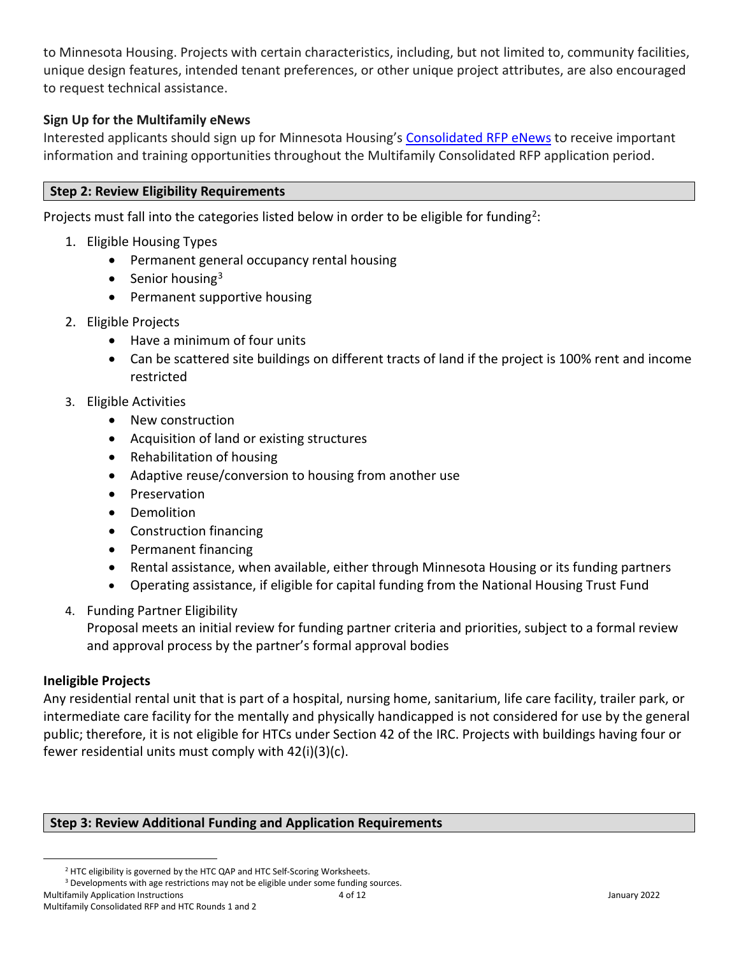to Minnesota Housing. Projects with certain characteristics, including, but not limited to, community facilities, unique design features, intended tenant preferences, or other unique project attributes, are also encouraged to request technical assistance.

#### **Sign Up for the Multifamily eNews**

Interested applicants should sign up for Minnesota Housing's [Consolidated RFP](https://signup.e2ma.net/signup/1887762/25709/) eNews to receive important information and training opportunities throughout the Multifamily Consolidated RFP application period.

#### **Step 2: Review Eligibility Requirements**

Projects must fall into the categories listed below in order to be eligible for funding<sup>2</sup>:

- 1. Eligible Housing Types
	- Permanent general occupancy rental housing
	- Senior housing<sup>[3](#page-3-1)</sup>
	- Permanent supportive housing
- 2. Eligible Projects
	- Have a minimum of four units
	- Can be scattered site buildings on different tracts of land if the project is 100% rent and income restricted
- 3. Eligible Activities
	- New construction
	- Acquisition of land or existing structures
	- Rehabilitation of housing
	- Adaptive reuse/conversion to housing from another use
	- Preservation
	- Demolition
	- Construction financing
	- Permanent financing
	- Rental assistance, when available, either through Minnesota Housing or its funding partners
	- Operating assistance, if eligible for capital funding from the National Housing Trust Fund
- 4. Funding Partner Eligibility

Proposal meets an initial review for funding partner criteria and priorities, subject to a formal review and approval process by the partner's formal approval bodies

#### **Ineligible Projects**

Any residential rental unit that is part of a hospital, nursing home, sanitarium, life care facility, trailer park, or intermediate care facility for the mentally and physically handicapped is not considered for use by the general public; therefore, it is not eligible for HTCs under Section 42 of the IRC. Projects with buildings having four or fewer residential units must comply with 42(i)(3)(c).

#### **Step 3: Review Additional Funding and Application Requirements**

<sup>&</sup>lt;sup>2</sup> HTC eligibility is governed by the HTC QAP and HTC Self-Scoring Worksheets.

<span id="page-3-1"></span><span id="page-3-0"></span><sup>&</sup>lt;sup>3</sup> Developments with age restrictions may not be eligible under some funding sources.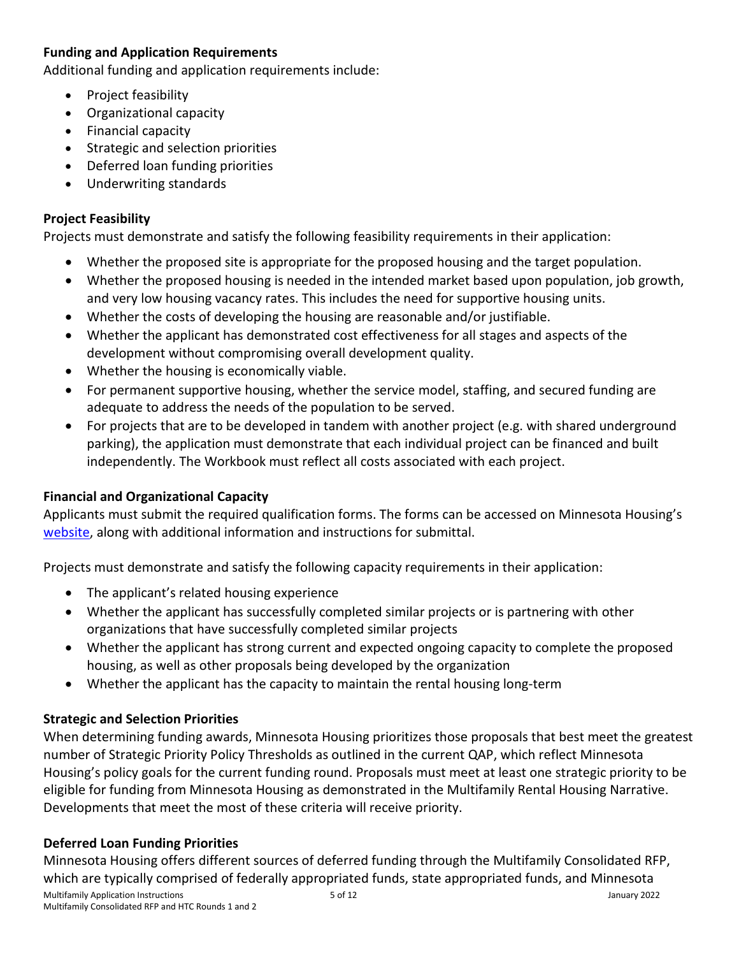## **Funding and Application Requirements**

Additional funding and application requirements include:

- Project feasibility
- Organizational capacity
- Financial capacity
- Strategic and selection priorities
- Deferred loan funding priorities
- Underwriting standards

#### **Project Feasibility**

Projects must demonstrate and satisfy the following feasibility requirements in their application:

- Whether the proposed site is appropriate for the proposed housing and the target population.
- Whether the proposed housing is needed in the intended market based upon population, job growth, and very low housing vacancy rates. This includes the need for supportive housing units.
- Whether the costs of developing the housing are reasonable and/or justifiable.
- Whether the applicant has demonstrated cost effectiveness for all stages and aspects of the development without compromising overall development quality.
- Whether the housing is economically viable.
- For permanent supportive housing, whether the service model, staffing, and secured funding are adequate to address the needs of the population to be served.
- For projects that are to be developed in tandem with another project (e.g. with shared underground parking), the application must demonstrate that each individual project can be financed and built independently. The Workbook must reflect all costs associated with each project.

## **Financial and Organizational Capacity**

Applicants must submit the required qualification forms. The forms can be accessed on Minnesota Housing's [website,](https://www.mnhousing.gov/sites/multifamily/qualificationforms) along with additional information and instructions for submittal.

Projects must demonstrate and satisfy the following capacity requirements in their application:

- The applicant's related housing experience
- Whether the applicant has successfully completed similar projects or is partnering with other organizations that have successfully completed similar projects
- Whether the applicant has strong current and expected ongoing capacity to complete the proposed housing, as well as other proposals being developed by the organization
- Whether the applicant has the capacity to maintain the rental housing long-term

## **Strategic and Selection Priorities**

When determining funding awards, Minnesota Housing prioritizes those proposals that best meet the greatest number of Strategic Priority Policy Thresholds as outlined in the current QAP, which reflect Minnesota Housing's policy goals for the current funding round. Proposals must meet at least one strategic priority to be eligible for funding from Minnesota Housing as demonstrated in the Multifamily Rental Housing Narrative. Developments that meet the most of these criteria will receive priority.

## **Deferred Loan Funding Priorities**

Multifamily Application Instructions 5 of 12 January 2022 Multifamily Consolidated RFP and HTC Rounds 1 and 2 Minnesota Housing offers different sources of deferred funding through the Multifamily Consolidated RFP, which are typically comprised of federally appropriated funds, state appropriated funds, and Minnesota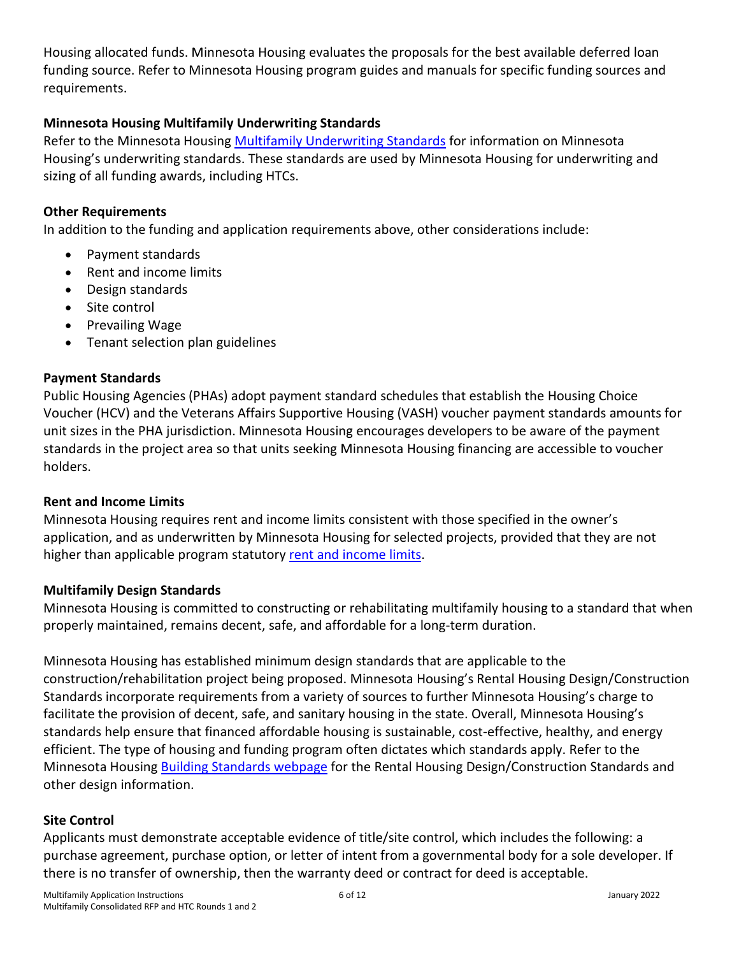Housing allocated funds. Minnesota Housing evaluates the proposals for the best available deferred loan funding source. Refer to Minnesota Housing program guides and manuals for specific funding sources and requirements.

#### **Minnesota Housing Multifamily Underwriting Standards**

Refer to the Minnesota Housing [Multifamily Underwriting Standards](https://www.mnhousing.gov/get/MHFA_247348) for information on Minnesota Housing's underwriting standards. These standards are used by Minnesota Housing for underwriting and sizing of all funding awards, including HTCs.

#### **Other Requirements**

In addition to the funding and application requirements above, other considerations include:

- Payment standards
- Rent and income limits
- Design standards
- Site control
- Prevailing Wage
- Tenant selection plan guidelines

#### **Payment Standards**

Public Housing Agencies (PHAs) adopt payment standard schedules that establish the Housing Choice Voucher (HCV) and the Veterans Affairs Supportive Housing (VASH) voucher payment standards amounts for unit sizes in the PHA jurisdiction. Minnesota Housing encourages developers to be aware of the payment standards in the project area so that units seeking Minnesota Housing financing are accessible to voucher holders.

#### **Rent and Income Limits**

Minnesota Housing requires rent and income limits consistent with those specified in the owner's application, and as underwritten by Minnesota Housing for selected projects, provided that they are not higher than applicable program statutor[y rent and income limits.](https://www.mnhousing.gov/sites/multifamily/limits)

#### **Multifamily Design Standards**

Minnesota Housing is committed to constructing or rehabilitating multifamily housing to a standard that when properly maintained, remains decent, safe, and affordable for a long-term duration.

Minnesota Housing has established minimum design standards that are applicable to the construction/rehabilitation project being proposed. Minnesota Housing's Rental Housing Design/Construction Standards incorporate requirements from a variety of sources to further Minnesota Housing's charge to facilitate the provision of decent, safe, and sanitary housing in the state. Overall, Minnesota Housing's standards help ensure that financed affordable housing is sustainable, cost-effective, healthy, and energy efficient. The type of housing and funding program often dictates which standards apply. Refer to the Minnesota Housing [Building Standards webpage](https://www.mnhousing.gov/sites/multifamily/buildingstandards) for the Rental Housing Design/Construction Standards and other design information.

#### **Site Control**

Applicants must demonstrate acceptable evidence of title/site control, which includes the following: a purchase agreement, purchase option, or letter of intent from a governmental body for a sole developer. If there is no transfer of ownership, then the warranty deed or contract for deed is acceptable.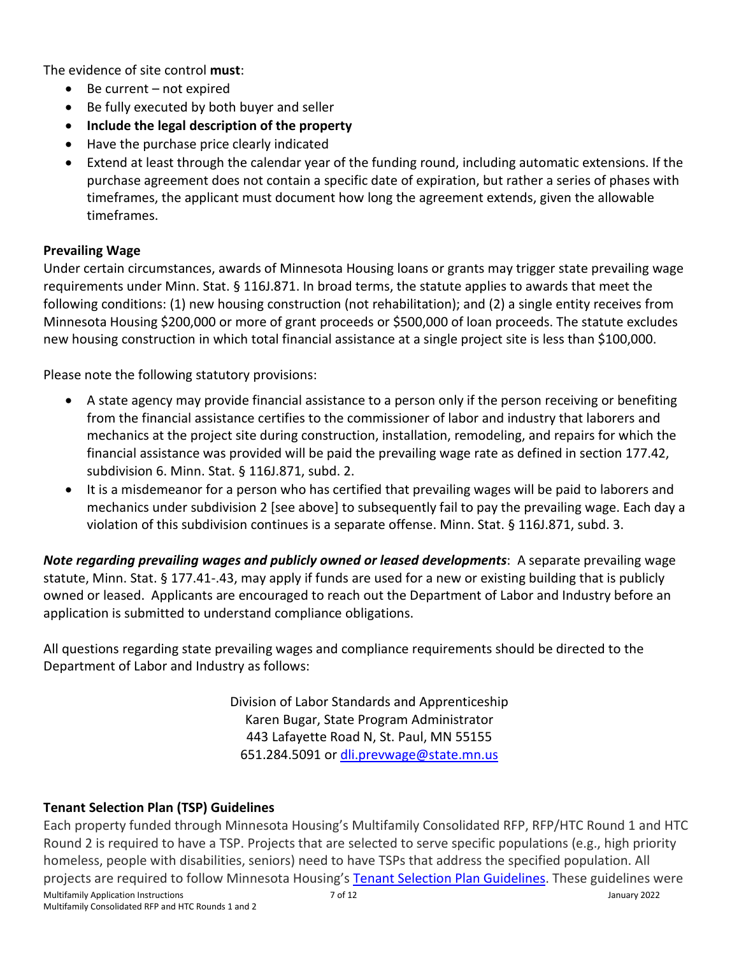The evidence of site control **must**:

- Be current not expired
- Be fully executed by both buyer and seller
- **Include the legal description of the property**
- Have the purchase price clearly indicated
- Extend at least through the calendar year of the funding round, including automatic extensions. If the purchase agreement does not contain a specific date of expiration, but rather a series of phases with timeframes, the applicant must document how long the agreement extends, given the allowable timeframes.

#### **Prevailing Wage**

Under certain circumstances, awards of Minnesota Housing loans or grants may trigger state prevailing wage requirements under Minn. Stat. § 116J.871. In broad terms, the statute applies to awards that meet the following conditions: (1) new housing construction (not rehabilitation); and (2) a single entity receives from Minnesota Housing \$200,000 or more of grant proceeds or \$500,000 of loan proceeds. The statute excludes new housing construction in which total financial assistance at a single project site is less than \$100,000.

Please note the following statutory provisions:

- A state agency may provide financial assistance to a person only if the person receiving or benefiting from the financial assistance certifies to the commissioner of labor and industry that laborers and mechanics at the project site during construction, installation, remodeling, and repairs for which the financial assistance was provided will be paid the prevailing wage rate as defined in section 177.42, subdivision 6. Minn. Stat. § 116J.871, subd. 2.
- It is a misdemeanor for a person who has certified that prevailing wages will be paid to laborers and mechanics under subdivision 2 [see above] to subsequently fail to pay the prevailing wage. Each day a violation of this subdivision continues is a separate offense. Minn. Stat. § 116J.871, subd. 3.

*Note regarding prevailing wages and publicly owned or leased developments*: A separate prevailing wage statute, Minn. Stat. § 177.41-.43, may apply if funds are used for a new or existing building that is publicly owned or leased. Applicants are encouraged to reach out the Department of Labor and Industry before an application is submitted to understand compliance obligations.

All questions regarding state prevailing wages and compliance requirements should be directed to the Department of Labor and Industry as follows:

> Division of Labor Standards and Apprenticeship Karen Bugar, State Program Administrator 443 Lafayette Road N, St. Paul, MN 55155 651.284.5091 or [dli.prevwage@state.mn.us](mailto:dli.prevwage@state.mn.us)

## **Tenant Selection Plan (TSP) Guidelines**

Multifamily Application Instructions 7 of 12 January 2022 Multifamily Consolidated RFP and HTC Rounds 1 and 2 Each property funded through Minnesota Housing's Multifamily Consolidated RFP, RFP/HTC Round 1 and HTC Round 2 is required to have a TSP. Projects that are selected to serve specific populations (e.g., high priority homeless, people with disabilities, seniors) need to have TSPs that address the specified population. All projects are required to follow Minnesota Housing's [Tenant Selection Plan Guidelines.](https://www.mnhousing.gov/get/MHFA_1039899) These guidelines were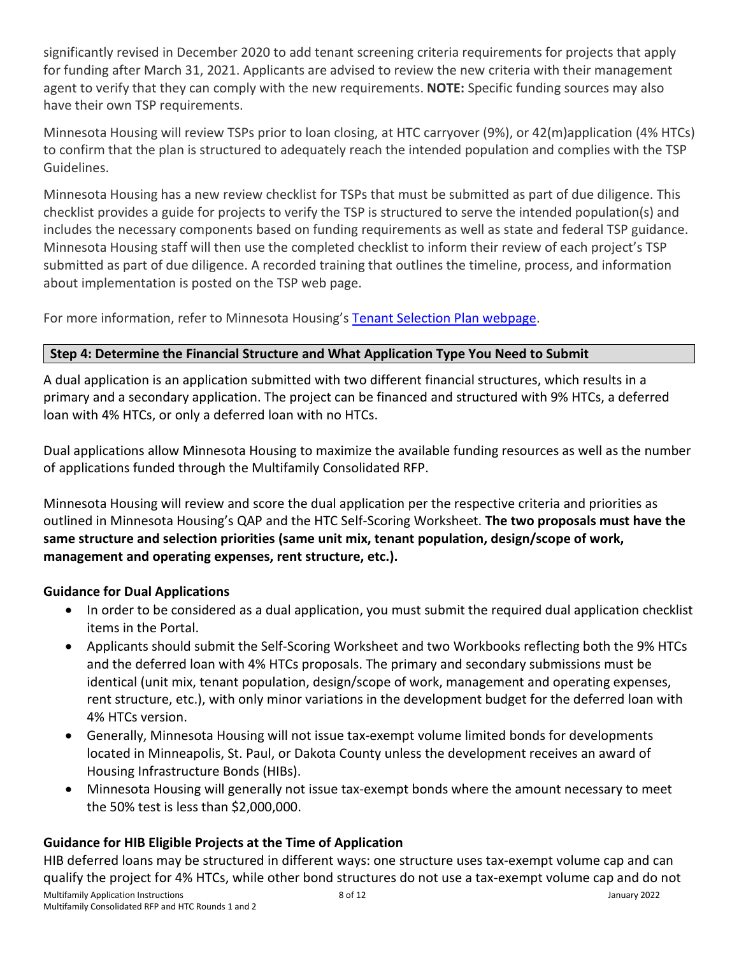significantly revised in December 2020 to add tenant screening criteria requirements for projects that apply for funding after March 31, 2021. Applicants are advised to review the new criteria with their management agent to verify that they can comply with the new requirements. **NOTE:** Specific funding sources may also have their own TSP requirements.

Minnesota Housing will review TSPs prior to loan closing, at HTC carryover (9%), or 42(m)application (4% HTCs) to confirm that the plan is structured to adequately reach the intended population and complies with the TSP Guidelines.

Minnesota Housing has a new review checklist for TSPs that must be submitted as part of due diligence. This checklist provides a guide for projects to verify the TSP is structured to serve the intended population(s) and includes the necessary components based on funding requirements as well as state and federal TSP guidance. Minnesota Housing staff will then use the completed checklist to inform their review of each project's TSP submitted as part of due diligence. A recorded training that outlines the timeline, process, and information about implementation is posted on the TSP web page.

For more information, refer to Minnesota Housing's [Tenant Selection Plan webpage.](https://www.mnhousing.gov/sites/multifamily/tenantselectionplan)

## **Step 4: Determine the Financial Structure and What Application Type You Need to Submit**

A dual application is an application submitted with two different financial structures, which results in a primary and a secondary application. The project can be financed and structured with 9% HTCs, a deferred loan with 4% HTCs, or only a deferred loan with no HTCs.

Dual applications allow Minnesota Housing to maximize the available funding resources as well as the number of applications funded through the Multifamily Consolidated RFP.

Minnesota Housing will review and score the dual application per the respective criteria and priorities as outlined in Minnesota Housing's QAP and the HTC Self-Scoring Worksheet. **The two proposals must have the same structure and selection priorities (same unit mix, tenant population, design/scope of work, management and operating expenses, rent structure, etc.).** 

## **Guidance for Dual Applications**

- In order to be considered as a dual application, you must submit the required dual application checklist items in the Portal.
- Applicants should submit the Self-Scoring Worksheet and two Workbooks reflecting both the 9% HTCs and the deferred loan with 4% HTCs proposals. The primary and secondary submissions must be identical (unit mix, tenant population, design/scope of work, management and operating expenses, rent structure, etc.), with only minor variations in the development budget for the deferred loan with 4% HTCs version.
- Generally, Minnesota Housing will not issue tax-exempt volume limited bonds for developments located in Minneapolis, St. Paul, or Dakota County unless the development receives an award of Housing Infrastructure Bonds (HIBs).
- Minnesota Housing will generally not issue tax-exempt bonds where the amount necessary to meet the 50% test is less than \$2,000,000.

## **Guidance for HIB Eligible Projects at the Time of Application**

HIB deferred loans may be structured in different ways: one structure uses tax-exempt volume cap and can qualify the project for 4% HTCs, while other bond structures do not use a tax-exempt volume cap and do not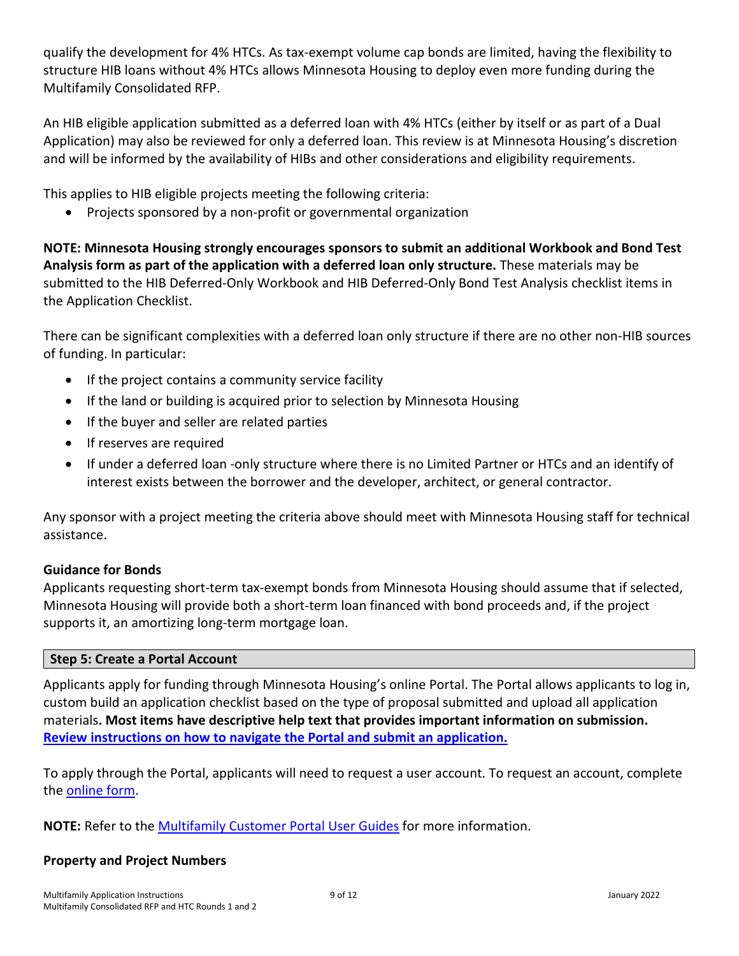qualify the development for 4% HTCs. As tax-exempt volume cap bonds are limited, having the flexibility to structure HIB loans without 4% HTCs allows Minnesota Housing to deploy even more funding during the Multifamily Consolidated RFP.

An HIB eligible application submitted as a deferred loan with 4% HTCs (either by itself or as part of a Dual Application) may also be reviewed for only a deferred loan. This review is at Minnesota Housing's discretion and will be informed by the availability of HIBs and other considerations and eligibility requirements.

This applies to HIB eligible projects meeting the following criteria:

• Projects sponsored by a non-profit or governmental organization

**NOTE: Minnesota Housing strongly encourages sponsors to submit an additional Workbook and Bond Test Analysis form as part of the application with a deferred loan only structure.** These materials may be submitted to the HIB Deferred-Only Workbook and HIB Deferred-Only Bond Test Analysis checklist items in the Application Checklist.

There can be significant complexities with a deferred loan only structure if there are no other non-HIB sources of funding. In particular:

- If the project contains a community service facility
- If the land or building is acquired prior to selection by Minnesota Housing
- If the buyer and seller are related parties
- If reserves are required
- If under a deferred loan -only structure where there is no Limited Partner or HTCs and an identify of interest exists between the borrower and the developer, architect, or general contractor.

Any sponsor with a project meeting the criteria above should meet with Minnesota Housing staff for technical assistance.

#### **Guidance for Bonds**

Applicants requesting short-term tax-exempt bonds from Minnesota Housing should assume that if selected, Minnesota Housing will provide both a short-term loan financed with bond proceeds and, if the project supports it, an amortizing long-term mortgage loan.

#### **Step 5: Create a Portal Account**

Applicants apply for funding through Minnesota Housing's online Portal. The Portal allows applicants to log in, custom build an application checklist based on the type of proposal submitted and upload all application materials**. Most items have descriptive help text that provides important information on submission. [Review instructions on how to navigate the Portal and submit an application.](https://www.mnhousing.gov/sites/multifamily/portal)**

To apply through the Portal, applicants will need to request a user account. To request an account, complete the [online form.](https://www.cvent.com/surveys/Questions/IDConfirm.aspx?s=2e7cb2af-51e0-471b-8bd3-7ca8f12fae88)

**NOTE:** Refer to the [Multifamily Customer Portal User Guides](https://www.mnhousing.gov/sites/multifamily/portal) for more information.

#### **Property and Project Numbers**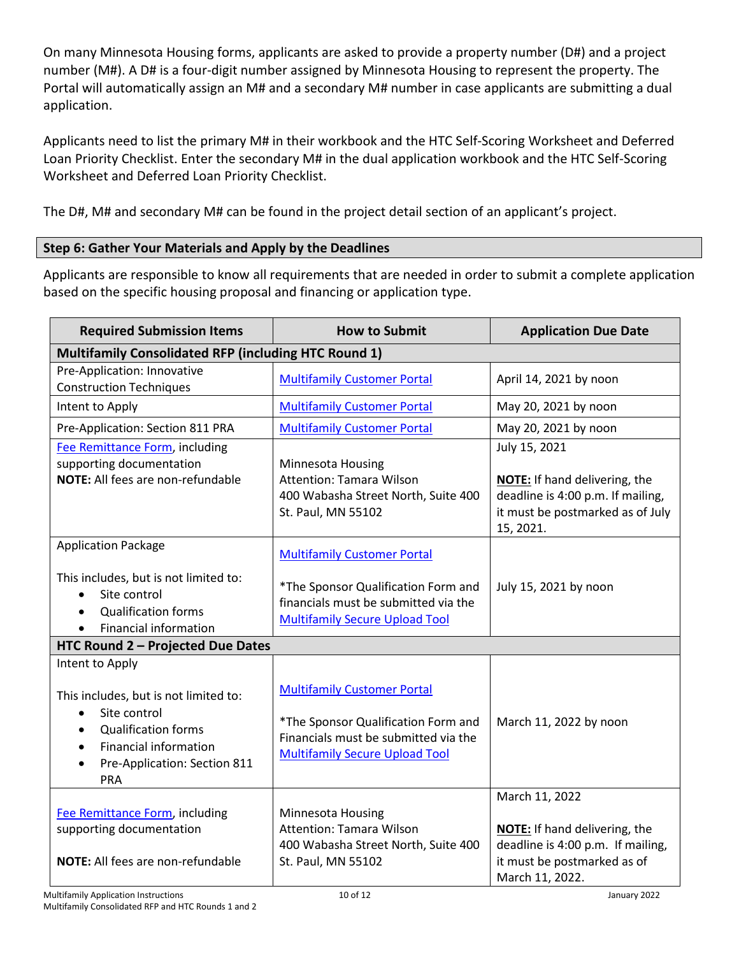On many Minnesota Housing forms, applicants are asked to provide a property number (D#) and a project number (M#). A D# is a four-digit number assigned by Minnesota Housing to represent the property. The Portal will automatically assign an M# and a secondary M# number in case applicants are submitting a dual application.

Applicants need to list the primary M# in their workbook and the HTC Self-Scoring Worksheet and Deferred Loan Priority Checklist. Enter the secondary M# in the dual application workbook and the HTC Self-Scoring Worksheet and Deferred Loan Priority Checklist.

The D#, M# and secondary M# can be found in the project detail section of an applicant's project.

## **Step 6: Gather Your Materials and Apply by the Deadlines**

Applicants are responsible to know all requirements that are needed in order to submit a complete application based on the specific housing proposal and financing or application type.

| <b>Required Submission Items</b>                                                                                                                                                                                                         | <b>How to Submit</b>                                                                                                                                       | <b>Application Due Date</b>                                                                                                                   |  |  |  |  |
|------------------------------------------------------------------------------------------------------------------------------------------------------------------------------------------------------------------------------------------|------------------------------------------------------------------------------------------------------------------------------------------------------------|-----------------------------------------------------------------------------------------------------------------------------------------------|--|--|--|--|
| Multifamily Consolidated RFP (including HTC Round 1)                                                                                                                                                                                     |                                                                                                                                                            |                                                                                                                                               |  |  |  |  |
| Pre-Application: Innovative<br><b>Construction Techniques</b>                                                                                                                                                                            | <b>Multifamily Customer Portal</b>                                                                                                                         | April 14, 2021 by noon                                                                                                                        |  |  |  |  |
| Intent to Apply                                                                                                                                                                                                                          | <b>Multifamily Customer Portal</b>                                                                                                                         | May 20, 2021 by noon                                                                                                                          |  |  |  |  |
| Pre-Application: Section 811 PRA                                                                                                                                                                                                         | <b>Multifamily Customer Portal</b>                                                                                                                         | May 20, 2021 by noon                                                                                                                          |  |  |  |  |
| Fee Remittance Form, including<br>supporting documentation<br>NOTE: All fees are non-refundable                                                                                                                                          | Minnesota Housing<br>Attention: Tamara Wilson<br>400 Wabasha Street North, Suite 400<br>St. Paul, MN 55102                                                 | July 15, 2021<br>NOTE: If hand delivering, the<br>deadline is 4:00 p.m. If mailing,<br>it must be postmarked as of July<br>15, 2021.          |  |  |  |  |
| <b>Application Package</b><br>This includes, but is not limited to:<br>Site control<br>$\bullet$<br><b>Qualification forms</b><br>$\bullet$<br>Financial information<br>$\bullet$                                                        | <b>Multifamily Customer Portal</b><br>*The Sponsor Qualification Form and<br>financials must be submitted via the<br><b>Multifamily Secure Upload Tool</b> | July 15, 2021 by noon                                                                                                                         |  |  |  |  |
| HTC Round 2 - Projected Due Dates                                                                                                                                                                                                        |                                                                                                                                                            |                                                                                                                                               |  |  |  |  |
| Intent to Apply<br>This includes, but is not limited to:<br>Site control<br>$\bullet$<br><b>Qualification forms</b><br>$\bullet$<br><b>Financial information</b><br>$\bullet$<br>Pre-Application: Section 811<br>$\bullet$<br><b>PRA</b> | <b>Multifamily Customer Portal</b><br>*The Sponsor Qualification Form and<br>Financials must be submitted via the<br><b>Multifamily Secure Upload Tool</b> | March 11, 2022 by noon                                                                                                                        |  |  |  |  |
| Fee Remittance Form, including<br>supporting documentation<br>NOTE: All fees are non-refundable                                                                                                                                          | Minnesota Housing<br>Attention: Tamara Wilson<br>400 Wabasha Street North, Suite 400<br>St. Paul, MN 55102                                                 | March 11, 2022<br><b>NOTE:</b> If hand delivering, the<br>deadline is 4:00 p.m. If mailing,<br>it must be postmarked as of<br>March 11, 2022. |  |  |  |  |
| <b>Multifamily Application Instructions</b>                                                                                                                                                                                              | 10 of 12                                                                                                                                                   | January 2022                                                                                                                                  |  |  |  |  |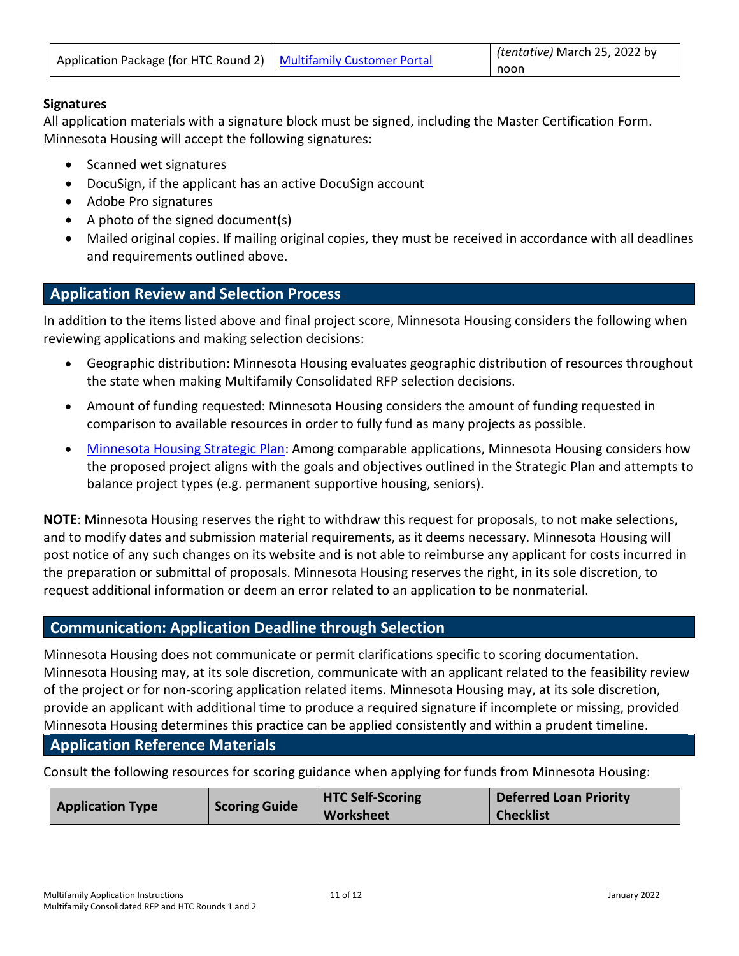| Application Package (for HTC Round 2)   Multifamily Customer Portal |  | (tentative) March 25, 2022 by |
|---------------------------------------------------------------------|--|-------------------------------|
|                                                                     |  | noon                          |

#### **Signatures**

All application materials with a signature block must be signed, including the Master Certification Form. Minnesota Housing will accept the following signatures:

- Scanned wet signatures
- DocuSign, if the applicant has an active DocuSign account
- Adobe Pro signatures
- A photo of the signed document(s)
- Mailed original copies. If mailing original copies, they must be received in accordance with all deadlines and requirements outlined above.

## <span id="page-10-0"></span>**Application Review and Selection Process**

In addition to the items listed above and final project score, Minnesota Housing considers the following when reviewing applications and making selection decisions:

- Geographic distribution: Minnesota Housing evaluates geographic distribution of resources throughout the state when making Multifamily Consolidated RFP selection decisions.
- Amount of funding requested: Minnesota Housing considers the amount of funding requested in comparison to available resources in order to fully fund as many projects as possible.
- [Minnesota Housing Strategic Plan:](https://www.mnhousing.gov/get/MHFA_236075) Among comparable applications, Minnesota Housing considers how the proposed project aligns with the goals and objectives outlined in the Strategic Plan and attempts to balance project types (e.g. permanent supportive housing, seniors).

**NOTE**: Minnesota Housing reserves the right to withdraw this request for proposals, to not make selections, and to modify dates and submission material requirements, as it deems necessary. Minnesota Housing will post notice of any such changes on its website and is not able to reimburse any applicant for costs incurred in the preparation or submittal of proposals. Minnesota Housing reserves the right, in its sole discretion, to request additional information or deem an error related to an application to be nonmaterial.

## <span id="page-10-1"></span>**Communication: Application Deadline through Selection**

Minnesota Housing does not communicate or permit clarifications specific to scoring documentation. Minnesota Housing may, at its sole discretion, communicate with an applicant related to the feasibility review of the project or for non-scoring application related items. Minnesota Housing may, at its sole discretion, provide an applicant with additional time to produce a required signature if incomplete or missing, provided Minnesota Housing determines this practice can be applied consistently and within a prudent timeline.

## <span id="page-10-2"></span>**Application Reference Materials**

Consult the following resources for scoring guidance when applying for funds from Minnesota Housing:

| <b>Application Type</b> | <b>Scoring Guide</b> | <b>HTC Self-Scoring</b> | Deferred Loan Priority |
|-------------------------|----------------------|-------------------------|------------------------|
|                         |                      | <b>Worksheet</b>        | <b>Checklist</b>       |